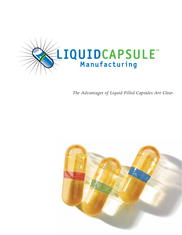

*The Advantages of Liquid-Filled Capsules Are Clear.*

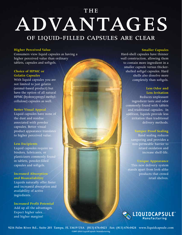# ADVANTAGES the of liquid-filled capsules are clear

### **Higher Perceived Value**

Consumers view liquid capsules as having a higher perceived value than ordinary tablets, capsules and softgels.

### **Choice of HPMC or Gelatin Capsules**

With liquid capsules you are not limited to just gelatin (animal-based product) but have the option of all natural HPMC (hydroxypropyl methylcellulose) capsules as well.

### **Better Visual Appeal**

Liquid capsules have none of the dust and residue associated with powder capsules. Better visual product appearance translates to higher perceived value.

### **Less Excipients**

Liquid capsules require no binders, lubricants, or plasticizers commonly found in tablets, powder-filled capsules and softgels.

### **Increased Absorption and Bioavailability**

Liquids naturally offer faster and increased absorption and availability of active ingredients.

**Increased Profit Potential**  Add up all the advantages. Expect higher sales… and higher margins!

#### **Smaller Capsules**

Hard-shell capsules have thinner wall construction, allowing them to contain more ingredient in a smaller capsule versus thickershelled softgel capsules. Hard shells also dissolve more completely than softgels.

### **Less Odor and Less Irritation**

Reduces unpleasant ingredient taste and odor commonly found with tablets and traditional capsules. In addition, liquids provide less irritation than traditional delivery methods.

### **Tamper Proof Sealing**

Band sealing reduces tampering and provides a non-permeable barrier to retard oxidation and increase shelf-life.

### **Unique Appearance**

This new delivery system stands apart from look-alike products that crowd retail shelves.



**9216 Palm River Rd., Suite 203 Tampa, FL 33619 USA (813) 676-0423 Fax: (813) 676-0424 www.liquidcapsule.com ©2007-2010 LiquidCapsule Manufacturing**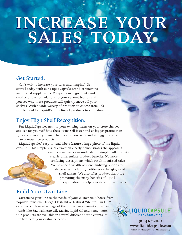## increase your SALES TODAY increase your SALES TODAY

### Get Started.

Can't wait to increase your sales and margins? Get started today with our LiquidCapsule Brand of vitamins and herbal supplements. Compare our ingredients and quality of our formulations to your current brands and you see why these products will quickly move off your shelves. With a wide variety of products to choose from, it's simple to add a LiquidCapsule line of products to your store.

### Enjoy High Shelf Recognition.

Put LiquidCapsules next to your existing items on your store shelves and see for yourself how these items sell faster and at bigger profits than typical commodity items. That means more sales and at bigger profits than competitive products.

LiquidCapsules' easy-to-read labels feature a large photo of the liquid capsule. This simple visual attraction clearly demonstrates the appealing

> benefits consumers can understand. Simple bullet points clearly differentiate product benefits. No more confusing descriptions which result in missed sales. We provide a wealth of merchandising options to drive sales, including bottlenecks, hangtags and shelf talkers. We also offer product literature promoting the many benefits of liquid encapsulation to help educate your customers.

### Build Your Own Line.

Customize your line to the needs of your customers. Choose from popular items like Omega 3 Fish Oil or Natural Vitamin E in HPMC capsules. Or take advantage of the hottest supplement consumer trends like Saw Palmetto Oil, Marine Lipid Oil and many more. Our products are available in several different bottle counts, to further meet your customer needs. **(813) 676-0423**



**www.liquidcapsule.com ©2007-2010 LiquidCapsule Manufacturing**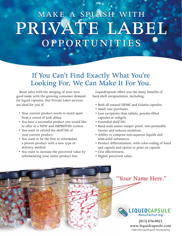# PRIVATE LABEL opportunities opportunities make a splash with make a splash with

## If You Can't Find Exactly What You're Looking For, We Can Make It For You.

Boost sales with the merging of your own good name with the growing consumer demand for liquid capsules. Our Private Label services are ideal for you if:

- Your current product needs to stand apart from a crowd of look alikes.
- You have a successful product you would like to offer in a NEW and IMPROVED version.
- You want to extend the shelf life of your current product.
- You want to be the first to reformulate a proven product with a new type of delivery method.
- You want to increase the perceived value by reformulating your entire product line.

LiquidCapsule offers you the many benefits of hard shell encapsulation, including:

- Both all natural HPMC and Gelatin capsules.
- Small case purchases.
- Less excipients than tablets, powder-filled capsules or softgels.
- Extended shelf life.
- Band seals assure tamper proof, non-permeable barrier and reduces oxidation.
- Ability to compose non-aqueous liquids and semi-solid substances.
- Product differentiation, with color-coding of band and capsule and option to print on capsule
- Cost effectiveness.
- Higher perceived value.